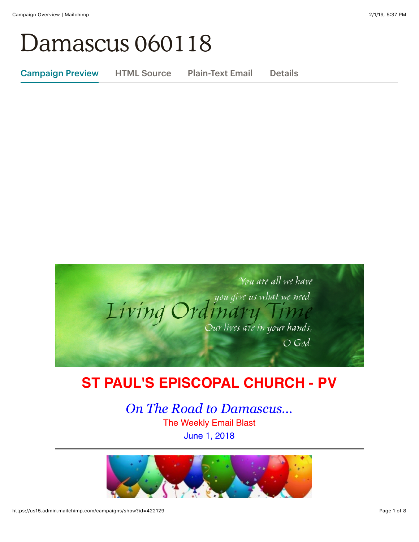# Damascus 060118

Campaign Preview HTML Source Plain-Text Email Details



# **ST PAUL'S EPISCOPAL CHURCH - PV**

*On The Road to Damascus...* The Weekly Email Blast June 1, 2018

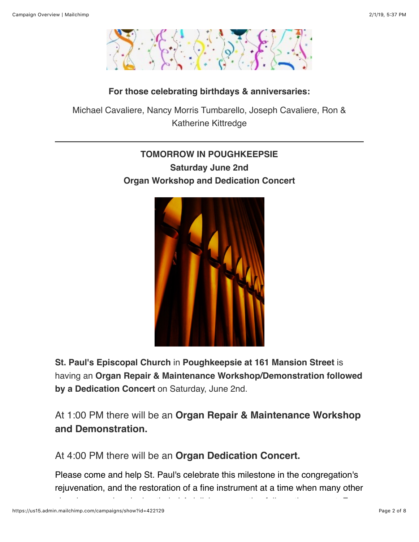

#### **For those celebrating birthdays & anniversaries:**

Michael Cavaliere, Nancy Morris Tumbarello, Joseph Cavaliere, Ron & Katherine Kittredge

# **TOMORROW IN POUGHKEEPSIE Saturday June 2nd Organ Workshop and Dedication Concert**



**St. Paul's Episcopal Church** in **Poughkeepsie at 161 Mansion Street** is having an **Organ Repair & Maintenance Workshop/Demonstration followed by a Dedication Concert** on Saturday, June 2nd.

At 1:00 PM there will be an **Organ Repair & Maintenance Workshop and Demonstration.**

At 4:00 PM there will be an **Organ Dedication Concert.**

Please come and help St. Paul's celebrate this milestone in the congregation's rejuvenation, and the restoration of a fine instrument at a time when many other

churches are abandoning theirs! A delicious reception follows the concert. For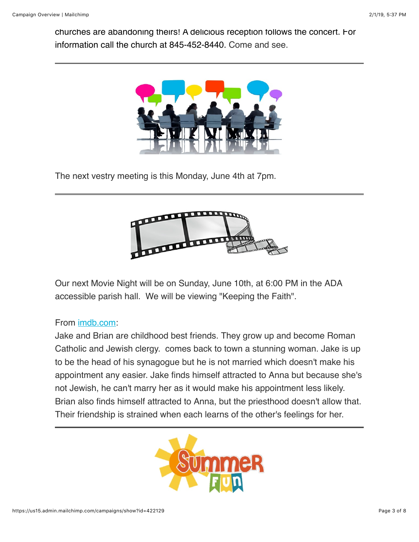churches are abandoning theirs! A delicious reception follows the concert. For information call the church at 845-452-8440. Come and see.



The next vestry meeting is this Monday, June 4th at 7pm.



Our next Movie Night will be on Sunday, June 10th, at 6:00 PM in the ADA accessible parish hall. We will be viewing "Keeping the Faith".

#### From [imdb.com](http://imdb.com/):

Jake and Brian are childhood best friends. They grow up and become Roman Catholic and Jewish clergy. comes back to town a stunning woman. Jake is up to be the head of his synagogue but he is not married which doesn't make his appointment any easier. Jake finds himself attracted to Anna but because she's not Jewish, he can't marry her as it would make his appointment less likely. Brian also finds himself attracted to Anna, but the priesthood doesn't allow that. Their friendship is strained when each learns of the other's feelings for her.

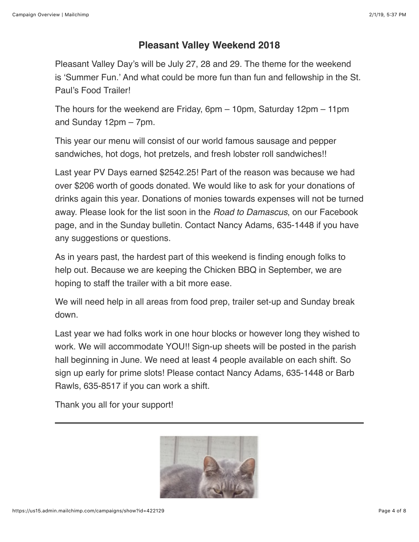### **Pleasant Valley Weekend 2018**

Pleasant Valley Day's will be July 27, 28 and 29. The theme for the weekend is 'Summer Fun.' And what could be more fun than fun and fellowship in the St. Paul's Food Trailer!

The hours for the weekend are Friday, 6pm – 10pm, Saturday 12pm – 11pm and Sunday 12pm – 7pm.

This year our menu will consist of our world famous sausage and pepper sandwiches, hot dogs, hot pretzels, and fresh lobster roll sandwiches!!

Last year PV Days earned \$2542.25! Part of the reason was because we had over \$206 worth of goods donated. We would like to ask for your donations of drinks again this year. Donations of monies towards expenses will not be turned away. Please look for the list soon in the *Road to Damascus*, on our Facebook page, and in the Sunday bulletin. Contact Nancy Adams, 635-1448 if you have any suggestions or questions.

As in years past, the hardest part of this weekend is finding enough folks to help out. Because we are keeping the Chicken BBQ in September, we are hoping to staff the trailer with a bit more ease.

We will need help in all areas from food prep, trailer set-up and Sunday break down.

Last year we had folks work in one hour blocks or however long they wished to work. We will accommodate YOU!! Sign-up sheets will be posted in the parish hall beginning in June. We need at least 4 people available on each shift. So sign up early for prime slots! Please contact Nancy Adams, 635-1448 or Barb Rawls, 635-8517 if you can work a shift.

Thank you all for your support!

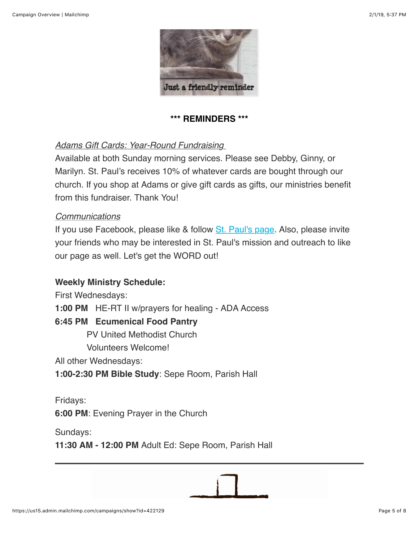

**\*\*\* REMINDERS \*\*\***

#### *Adams Gift Cards: Year-Round Fundraising*

Available at both Sunday morning services. Please see Debby, Ginny, or Marilyn. St. Paul's receives 10% of whatever cards are bought through our church. If you shop at Adams or give gift cards as gifts, our ministries benefit from this fundraiser. Thank You!

#### *Communications*

If you use Facebook, please like & follow [St. Paul's page.](https://www.facebook.com/stpaulspleasantvalley/?ref=bookmarks) Also, please invite your friends who may be interested in St. Paul's mission and outreach to like our page as well. Let's get the WORD out!

#### **Weekly Ministry Schedule:**

First Wednesdays:

**1:00 PM** HE-RT II w/prayers for healing - ADA Access

#### **6:45 PM Ecumenical Food Pantry**

PV United Methodist Church

Volunteers Welcome!

All other Wednesdays:

**1:00-2:30 PM Bible Study**: Sepe Room, Parish Hall

Fridays: **6:00 PM**: Evening Prayer in the Church

Sundays:

**11:30 AM - 12:00 PM** Adult Ed: Sepe Room, Parish Hall

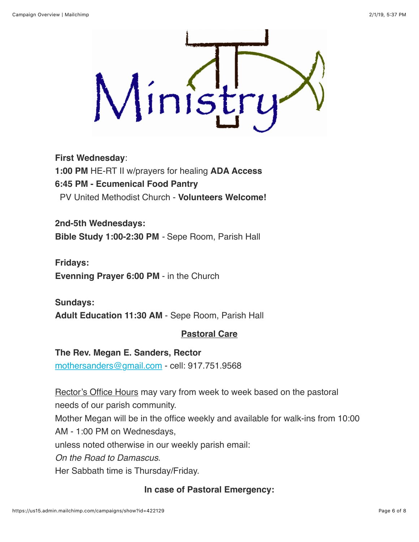

#### **First Wednesday**:

**1:00 PM** HE-RT II w/prayers for healing **ADA Access 6:45 PM - Ecumenical Food Pantry** PV United Methodist Church - **Volunteers Welcome!**

**2nd-5th Wednesdays: Bible Study 1:00-2:30 PM** *-* Sepe Room, Parish Hall

**Fridays: Evenning Prayer 6:00 PM** - in the Church

**Sundays: Adult Education 11:30 AM** - Sepe Room, Parish Hall

#### **Pastoral Care**

**The Rev. Megan E. Sanders, Rector** [mothersanders@gmail.com](mailto:mothersanders@gmail.com) - cell: 917.751.9568

Rector's Office Hours may vary from week to week based on the pastoral needs of our parish community. Mother Megan will be in the office weekly and available for walk-ins from 10:00 AM - 1:00 PM on Wednesdays, unless noted otherwise in our weekly parish email: *On the Road to Damascus*. Her Sabbath time is Thursday/Friday.

**In case of Pastoral Emergency:**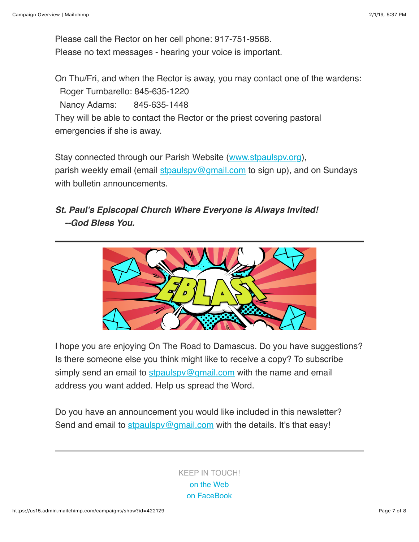Please call the Rector on her cell phone: 917-751-9568. Please no text messages - hearing your voice is important.

On Thu/Fri, and when the Rector is away, you may contact one of the wardens: Roger Tumbarello: 845-635-1220 Nancy Adams: 845-635-1448 They will be able to contact the Rector or the priest covering pastoral emergencies if she is away.

Stay connected through our Parish Website ([www.stpaulspv.org\)](http://www.stpaulspv.org/), parish weekly email (email stpaulspy@gmail.com to sign up), and on Sundays with bulletin announcements.

# *St. Paul's Episcopal Church Where Everyone is Always Invited! --God Bless You.*



I hope you are enjoying On The Road to Damascus. Do you have suggestions? Is there someone else you think might like to receive a copy? To subscribe simply send an email to stpaulspy@gmail.com with the name and email address you want added. Help us spread the Word.

Do you have an announcement you would like included in this newsletter? Send and email to stpaulspy@gmail.com with the details. It's that easy!

> KEEP IN TOUCH! [o](http://stpaulspv.org/)[n the Web](http://www.stpaulspv.org/) [on FaceBook](https://www.facebook.com/stpaulspleasantvalley/)